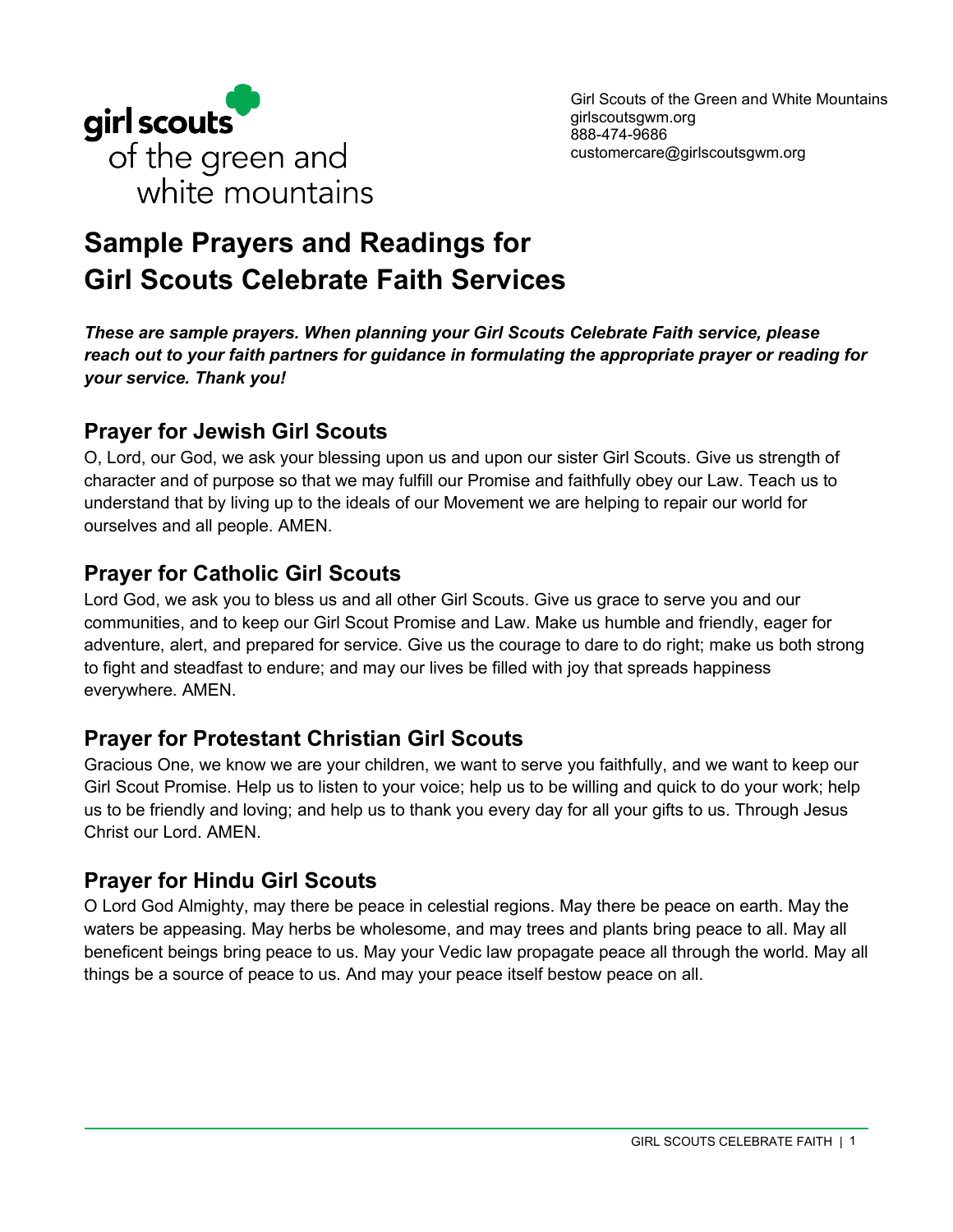

# **Sample Prayers and Readings for Girl Scouts Celebrate Faith Services**

*These are sample prayers. When planning your Girl Scouts Celebrate Faith service, please reach out to your faith partners for guidance in formulating the appropriate prayer or reading for your service. Thank you!*

#### **Prayer for Jewish Girl Scouts**

O, Lord, our God, we ask your blessing upon us and upon our sister Girl Scouts. Give us strength of character and of purpose so that we may fulfill our Promise and faithfully obey our Law. Teach us to understand that by living up to the ideals of our Movement we are helping to repair our world for ourselves and all people. AMEN.

#### **Prayer for Catholic Girl Scouts**

Lord God, we ask you to bless us and all other Girl Scouts. Give us grace to serve you and our communities, and to keep our Girl Scout Promise and Law. Make us humble and friendly, eager for adventure, alert, and prepared for service. Give us the courage to dare to do right; make us both strong to fight and steadfast to endure; and may our lives be filled with joy that spreads happiness everywhere. AMEN.

# **Prayer for Protestant Christian Girl Scouts**

Gracious One, we know we are your children, we want to serve you faithfully, and we want to keep our Girl Scout Promise. Help us to listen to your voice; help us to be willing and quick to do your work; help us to be friendly and loving; and help us to thank you every day for all your gifts to us. Through Jesus Christ our Lord. AMEN.

# **Prayer for Hindu Girl Scouts**

O Lord God Almighty, may there be peace in celestial regions. May there be peace on earth. May the waters be appeasing. May herbs be wholesome, and may trees and plants bring peace to all. May all beneficent beings bring peace to us. May your Vedic law propagate peace all through the world. May all things be a source of peace to us. And may your peace itself bestow peace on all.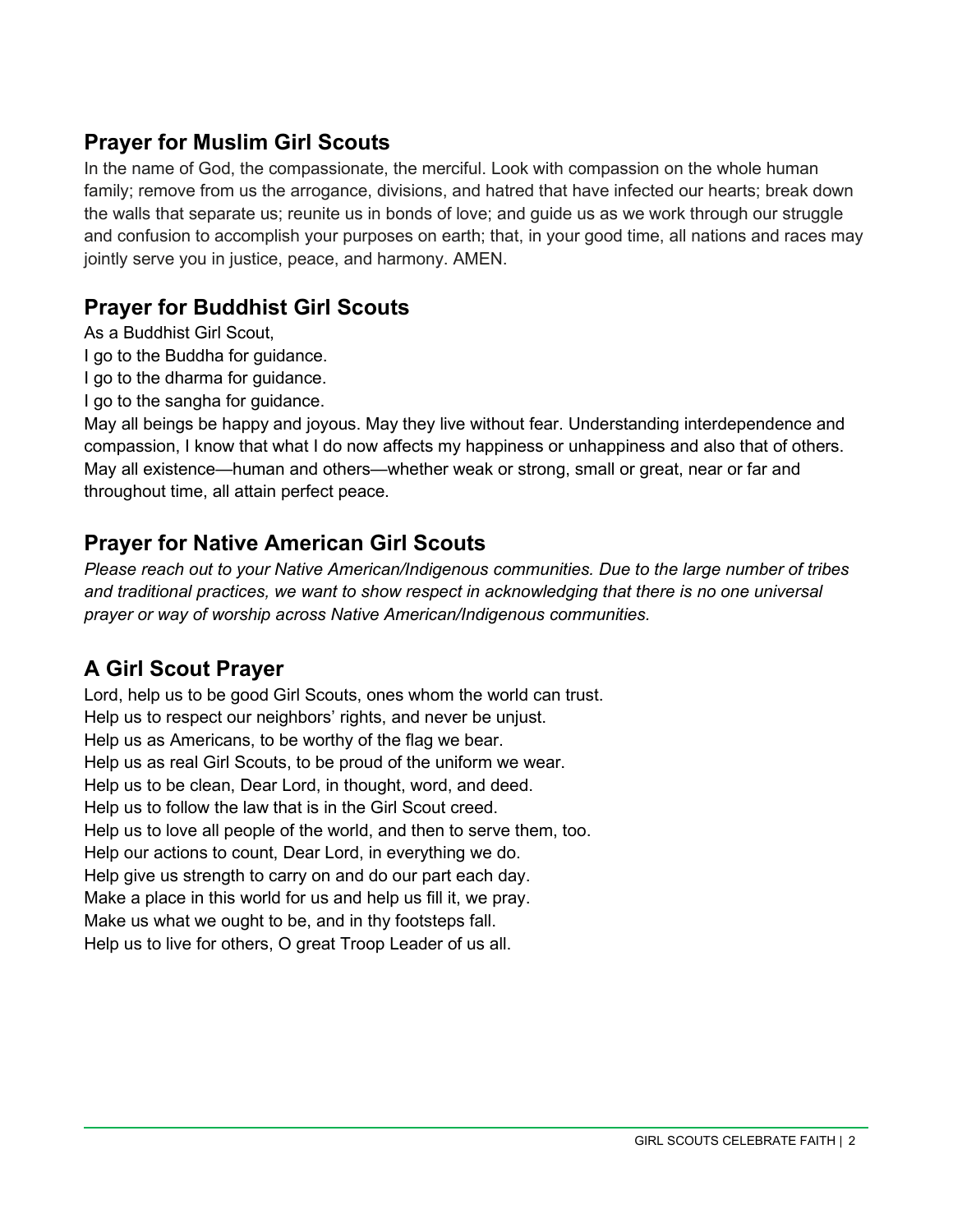#### **Prayer for Muslim Girl Scouts**

In the name of God, the compassionate, the merciful. Look with compassion on the whole human family; remove from us the arrogance, divisions, and hatred that have infected our hearts; break down the walls that separate us; reunite us in bonds of love; and guide us as we work through our struggle and confusion to accomplish your purposes on earth; that, in your good time, all nations and races may jointly serve you in justice, peace, and harmony. AMEN.

### **Prayer for Buddhist Girl Scouts**

As a Buddhist Girl Scout,

- I go to the Buddha for guidance.
- I go to the dharma for guidance.
- I go to the sangha for guidance.

May all beings be happy and joyous. May they live without fear. Understanding interdependence and compassion, I know that what I do now affects my happiness or unhappiness and also that of others. May all existence—human and others—whether weak or strong, small or great, near or far and throughout time, all attain perfect peace.

# **Prayer for Native American Girl Scouts**

*Please reach out to your Native American/Indigenous communities. Due to the large number of tribes and traditional practices, we want to show respect in acknowledging that there is no one universal prayer or way of worship across Native American/Indigenous communities.*

# **A Girl Scout Prayer**

Lord, help us to be good Girl Scouts, ones whom the world can trust. Help us to respect our neighbors' rights, and never be unjust. Help us as Americans, to be worthy of the flag we bear. Help us as real Girl Scouts, to be proud of the uniform we wear. Help us to be clean, Dear Lord, in thought, word, and deed. Help us to follow the law that is in the Girl Scout creed. Help us to love all people of the world, and then to serve them, too. Help our actions to count, Dear Lord, in everything we do. Help give us strength to carry on and do our part each day. Make a place in this world for us and help us fill it, we pray. Make us what we ought to be, and in thy footsteps fall. Help us to live for others, O great Troop Leader of us all.